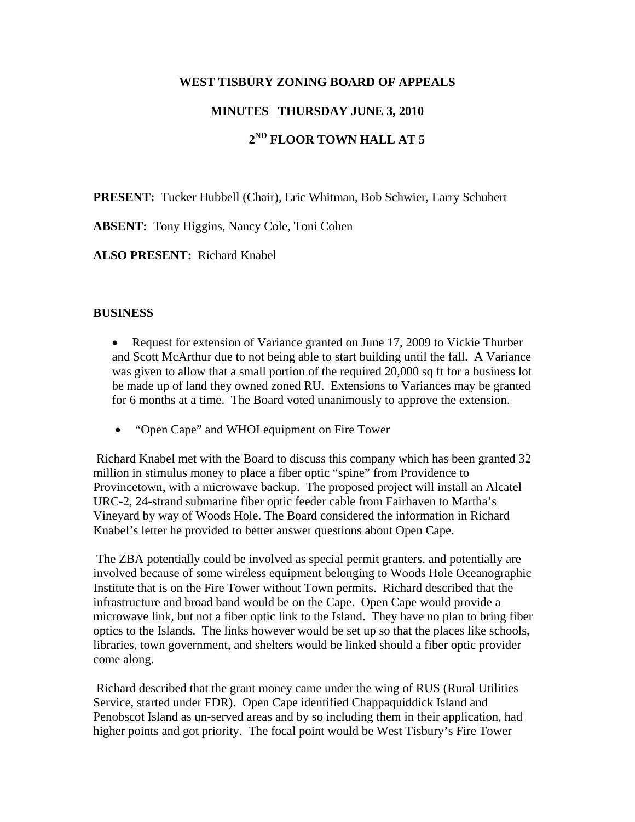### **WEST TISBURY ZONING BOARD OF APPEALS**

## **MINUTES THURSDAY JUNE 3, 2010**

# **2ND FLOOR TOWN HALL AT 5**

**PRESENT:** Tucker Hubbell (Chair), Eric Whitman, Bob Schwier, Larry Schubert

**ABSENT:** Tony Higgins, Nancy Cole, Toni Cohen

**ALSO PRESENT:** Richard Knabel

#### **BUSINESS**

- Request for extension of Variance granted on June 17, 2009 to Vickie Thurber and Scott McArthur due to not being able to start building until the fall. A Variance was given to allow that a small portion of the required 20,000 sq ft for a business lot be made up of land they owned zoned RU. Extensions to Variances may be granted for 6 months at a time. The Board voted unanimously to approve the extension.
- "Open Cape" and WHOI equipment on Fire Tower

 Richard Knabel met with the Board to discuss this company which has been granted 32 million in stimulus money to place a fiber optic "spine" from Providence to Provincetown, with a microwave backup. The proposed project will install an Alcatel URC-2, 24-strand submarine fiber optic feeder cable from Fairhaven to Martha's Vineyard by way of Woods Hole. The Board considered the information in Richard Knabel's letter he provided to better answer questions about Open Cape.

 The ZBA potentially could be involved as special permit granters, and potentially are involved because of some wireless equipment belonging to Woods Hole Oceanographic Institute that is on the Fire Tower without Town permits. Richard described that the infrastructure and broad band would be on the Cape. Open Cape would provide a microwave link, but not a fiber optic link to the Island. They have no plan to bring fiber optics to the Islands. The links however would be set up so that the places like schools, libraries, town government, and shelters would be linked should a fiber optic provider come along.

 Richard described that the grant money came under the wing of RUS (Rural Utilities Service, started under FDR). Open Cape identified Chappaquiddick Island and Penobscot Island as un-served areas and by so including them in their application, had higher points and got priority. The focal point would be West Tisbury's Fire Tower